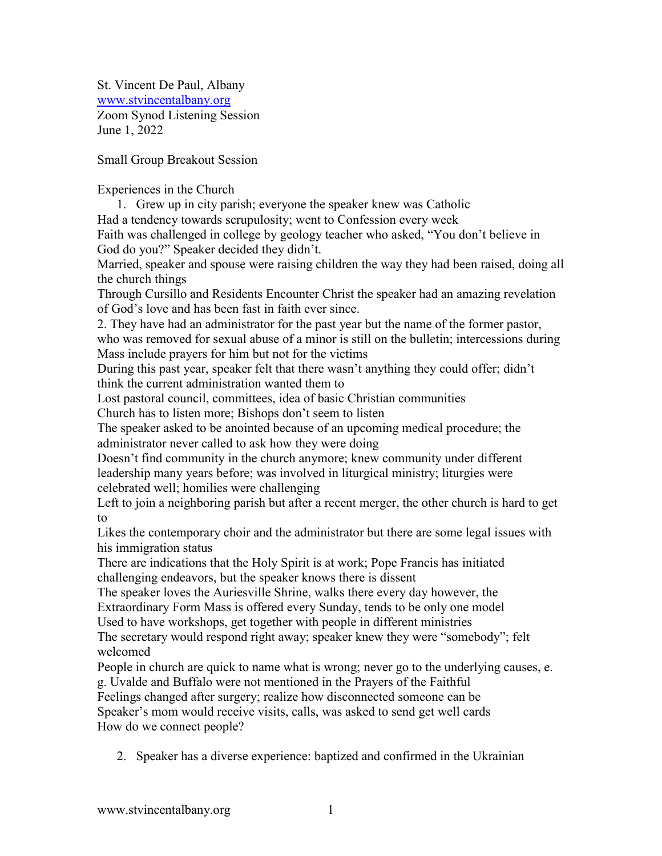St. Vincent De Paul, Albany [www.stvincentalbany.org](http://www.stvincentalbany.org/)  Zoom Synod Listening Session June 1, 2022

Small Group Breakout Session

Experiences in the Church

1. Grew up in city parish; everyone the speaker knew was Catholic

Had a tendency towards scrupulosity; went to Confession every week

Faith was challenged in college by geology teacher who asked, "You don't believe in God do you?" Speaker decided they didn't.

Married, speaker and spouse were raising children the way they had been raised, doing all the church things

Through Cursillo and Residents Encounter Christ the speaker had an amazing revelation of God's love and has been fast in faith ever since.

2. They have had an administrator for the past year but the name of the former pastor, who was removed for sexual abuse of a minor is still on the bulletin; intercessions during Mass include prayers for him but not for the victims

During this past year, speaker felt that there wasn't anything they could offer; didn't think the current administration wanted them to

Lost pastoral council, committees, idea of basic Christian communities

Church has to listen more; Bishops don't seem to listen

The speaker asked to be anointed because of an upcoming medical procedure; the administrator never called to ask how they were doing

Doesn't find community in the church anymore; knew community under different leadership many years before; was involved in liturgical ministry; liturgies were celebrated well; homilies were challenging

Left to join a neighboring parish but after a recent merger, the other church is hard to get to

Likes the contemporary choir and the administrator but there are some legal issues with his immigration status

There are indications that the Holy Spirit is at work; Pope Francis has initiated challenging endeavors, but the speaker knows there is dissent

The speaker loves the Auriesville Shrine, walks there every day however, the Extraordinary Form Mass is offered every Sunday, tends to be only one model Used to have workshops, get together with people in different ministries

The secretary would respond right away; speaker knew they were "somebody"; felt welcomed

People in church are quick to name what is wrong; never go to the underlying causes, e.

g. Uvalde and Buffalo were not mentioned in the Prayers of the Faithful

Feelings changed after surgery; realize how disconnected someone can be Speaker's mom would receive visits, calls, was asked to send get well cards How do we connect people?

2. Speaker has a diverse experience: baptized and confirmed in the Ukrainian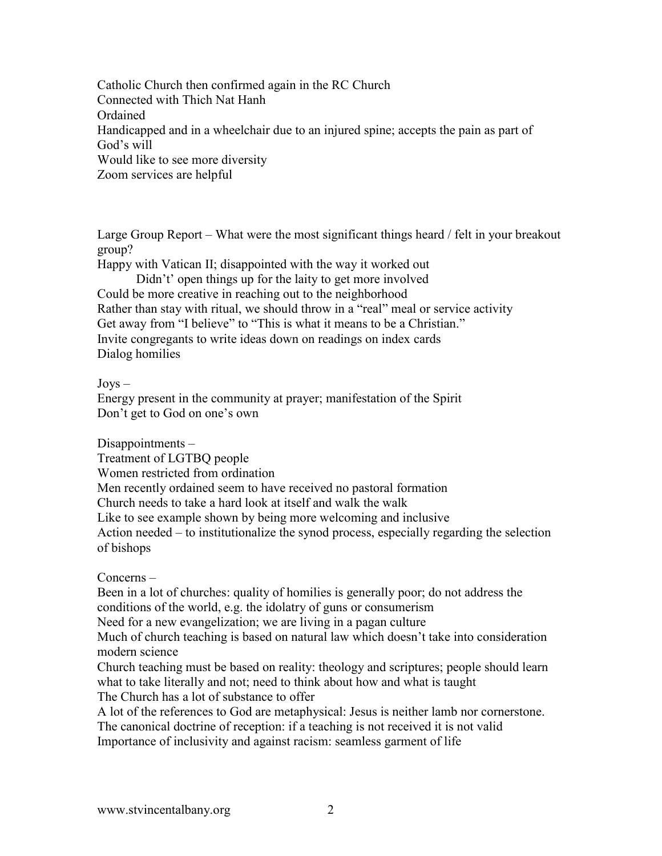Catholic Church then confirmed again in the RC Church Connected with Thich Nat Hanh Ordained Handicapped and in a wheelchair due to an injured spine; accepts the pain as part of God's will Would like to see more diversity Zoom services are helpful

Large Group Report – What were the most significant things heard / felt in your breakout group?

Happy with Vatican II; disappointed with the way it worked out Didn't' open things up for the laity to get more involved Could be more creative in reaching out to the neighborhood Rather than stay with ritual, we should throw in a "real" meal or service activity Get away from "I believe" to "This is what it means to be a Christian." Invite congregants to write ideas down on readings on index cards Dialog homilies

 $Jovs -$ 

Energy present in the community at prayer; manifestation of the Spirit Don't get to God on one's own

Disappointments –

Treatment of LGTBQ people Women restricted from ordination Men recently ordained seem to have received no pastoral formation Church needs to take a hard look at itself and walk the walk Like to see example shown by being more welcoming and inclusive Action needed – to institutionalize the synod process, especially regarding the selection of bishops

Concerns –

Been in a lot of churches: quality of homilies is generally poor; do not address the conditions of the world, e.g. the idolatry of guns or consumerism Need for a new evangelization; we are living in a pagan culture Much of church teaching is based on natural law which doesn't take into consideration modern science

Church teaching must be based on reality: theology and scriptures; people should learn what to take literally and not; need to think about how and what is taught The Church has a lot of substance to offer

A lot of the references to God are metaphysical: Jesus is neither lamb nor cornerstone. The canonical doctrine of reception: if a teaching is not received it is not valid

Importance of inclusivity and against racism: seamless garment of life